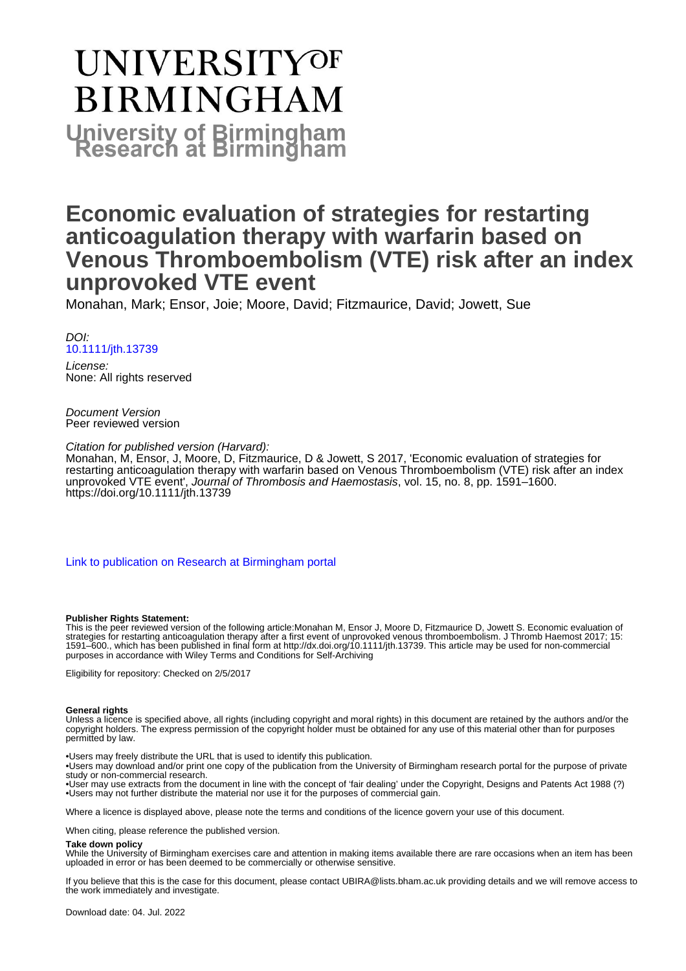# UNIVERSITYOF **BIRMINGHAM University of Birmingham**

## **Economic evaluation of strategies for restarting anticoagulation therapy with warfarin based on Venous Thromboembolism (VTE) risk after an index unprovoked VTE event**

Monahan, Mark; Ensor, Joie; Moore, David; Fitzmaurice, David; Jowett, Sue

DOI: [10.1111/jth.13739](https://doi.org/10.1111/jth.13739)

License: None: All rights reserved

Document Version Peer reviewed version

Citation for published version (Harvard):

Monahan, M, Ensor, J, Moore, D, Fitzmaurice, D & Jowett, S 2017, 'Economic evaluation of strategies for restarting anticoagulation therapy with warfarin based on Venous Thromboembolism (VTE) risk after an index unprovoked VTE event', Journal of Thrombosis and Haemostasis, vol. 15, no. 8, pp. 1591–1600. <https://doi.org/10.1111/jth.13739>

[Link to publication on Research at Birmingham portal](https://birmingham.elsevierpure.com/en/publications/b5c59cfe-2f6c-4077-9344-54ea9434250d)

#### **Publisher Rights Statement:**

This is the peer reviewed version of the following article:Monahan M, Ensor J, Moore D, Fitzmaurice D, Jowett S. Economic evaluation of strategies for restarting anticoagulation therapy after a first event of unprovoked venous thromboembolism. J Thromb Haemost 2017; 15: 1591–600., which has been published in final form at http://dx.doi.org/10.1111/jth.13739. This article may be used for non-commercial purposes in accordance with Wiley Terms and Conditions for Self-Archiving

Eligibility for repository: Checked on 2/5/2017

#### **General rights**

Unless a licence is specified above, all rights (including copyright and moral rights) in this document are retained by the authors and/or the copyright holders. The express permission of the copyright holder must be obtained for any use of this material other than for purposes permitted by law.

• Users may freely distribute the URL that is used to identify this publication.

• Users may download and/or print one copy of the publication from the University of Birmingham research portal for the purpose of private study or non-commercial research.

• User may use extracts from the document in line with the concept of 'fair dealing' under the Copyright, Designs and Patents Act 1988 (?) • Users may not further distribute the material nor use it for the purposes of commercial gain.

Where a licence is displayed above, please note the terms and conditions of the licence govern your use of this document.

When citing, please reference the published version.

#### **Take down policy**

While the University of Birmingham exercises care and attention in making items available there are rare occasions when an item has been uploaded in error or has been deemed to be commercially or otherwise sensitive.

If you believe that this is the case for this document, please contact UBIRA@lists.bham.ac.uk providing details and we will remove access to the work immediately and investigate.

Download date: 04. Jul. 2022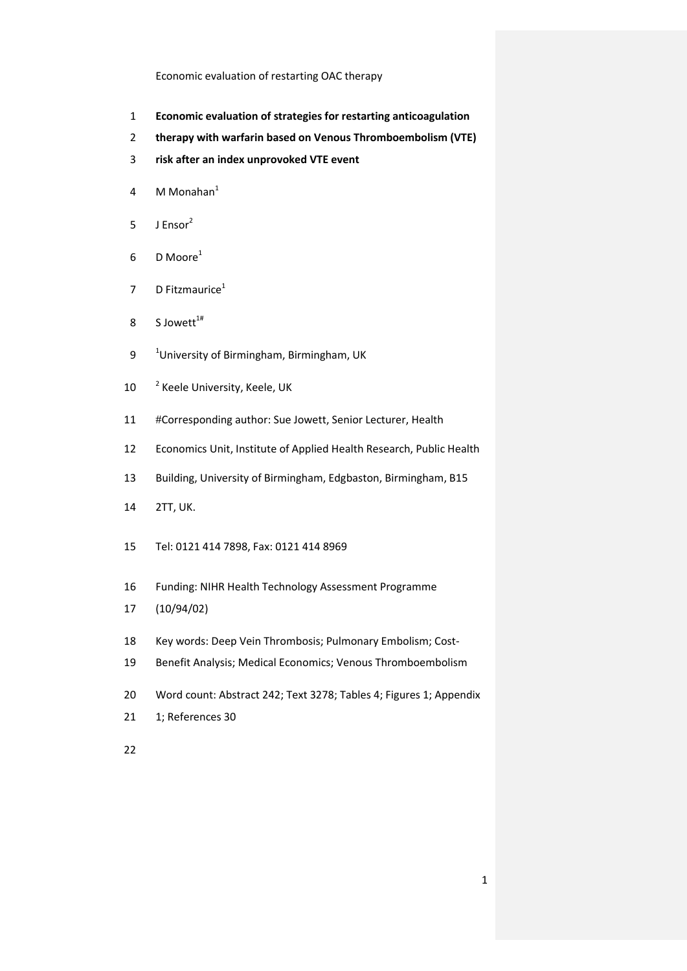- **Economic evaluation of strategies for restarting anticoagulation**
- **therapy with warfarin based on Venous Thromboembolism (VTE)**
- **risk after an index unprovoked VTE event**
- 4 M Monahan
- J Ensor<sup>2</sup>
- 6 D Moore<sup>1</sup>
- 7 D Fitzmaurice<sup>1</sup>
- 8 S Jowett $1#$
- 9 <sup>1</sup> University of Birmingham, Birmingham, UK
- 10 <sup>2</sup> Keele University, Keele, UK
- #Corresponding author: Sue Jowett, Senior Lecturer, Health
- Economics Unit, Institute of Applied Health Research, Public Health
- Building, University of Birmingham, Edgbaston, Birmingham, B15
- 2TT, UK.
- Tel: 0121 414 7898, Fax: 0121 414 8969
- Funding: NIHR Health Technology Assessment Programme
- (10/94/02)
- Key words: Deep Vein Thrombosis; Pulmonary Embolism; Cost-
- Benefit Analysis; Medical Economics; Venous Thromboembolism
- Word count: Abstract 242; Text 3278; Tables 4; Figures 1; Appendix
- 1; References 30
-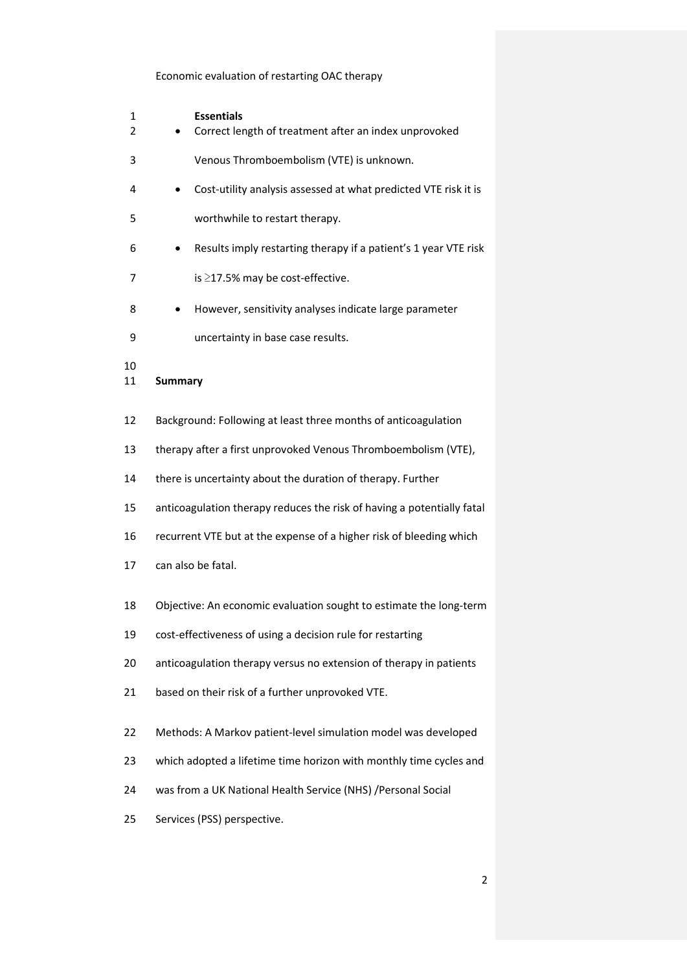| 1<br>2   | <b>Essentials</b><br>Correct length of treatment after an index unprovoked |  |  |  |  |  |
|----------|----------------------------------------------------------------------------|--|--|--|--|--|
| 3        | Venous Thromboembolism (VTE) is unknown.                                   |  |  |  |  |  |
| 4        | Cost-utility analysis assessed at what predicted VTE risk it is            |  |  |  |  |  |
| 5        | worthwhile to restart therapy.                                             |  |  |  |  |  |
| 6        | Results imply restarting therapy if a patient's 1 year VTE risk            |  |  |  |  |  |
| 7        | is ≥17.5% may be cost-effective.                                           |  |  |  |  |  |
| 8        | However, sensitivity analyses indicate large parameter                     |  |  |  |  |  |
| 9        | uncertainty in base case results.                                          |  |  |  |  |  |
| 10<br>11 | <b>Summary</b>                                                             |  |  |  |  |  |
| 12       | Background: Following at least three months of anticoagulation             |  |  |  |  |  |
| 13       | therapy after a first unprovoked Venous Thromboembolism (VTE),             |  |  |  |  |  |
| 14       | there is uncertainty about the duration of therapy. Further                |  |  |  |  |  |
| 15       | anticoagulation therapy reduces the risk of having a potentially fatal     |  |  |  |  |  |
| 16       | recurrent VTE but at the expense of a higher risk of bleeding which        |  |  |  |  |  |
| 17       | can also be fatal.                                                         |  |  |  |  |  |
| 18       | Objective: An economic evaluation sought to estimate the long-term         |  |  |  |  |  |
| 19       | cost-effectiveness of using a decision rule for restarting                 |  |  |  |  |  |
| 20       | anticoagulation therapy versus no extension of therapy in patients         |  |  |  |  |  |
| 21       | based on their risk of a further unprovoked VTE.                           |  |  |  |  |  |
| 22       | Methods: A Markov patient-level simulation model was developed             |  |  |  |  |  |
| 23       | which adopted a lifetime time horizon with monthly time cycles and         |  |  |  |  |  |
| 24       | was from a UK National Health Service (NHS) / Personal Social              |  |  |  |  |  |
| 25       | Services (PSS) perspective.                                                |  |  |  |  |  |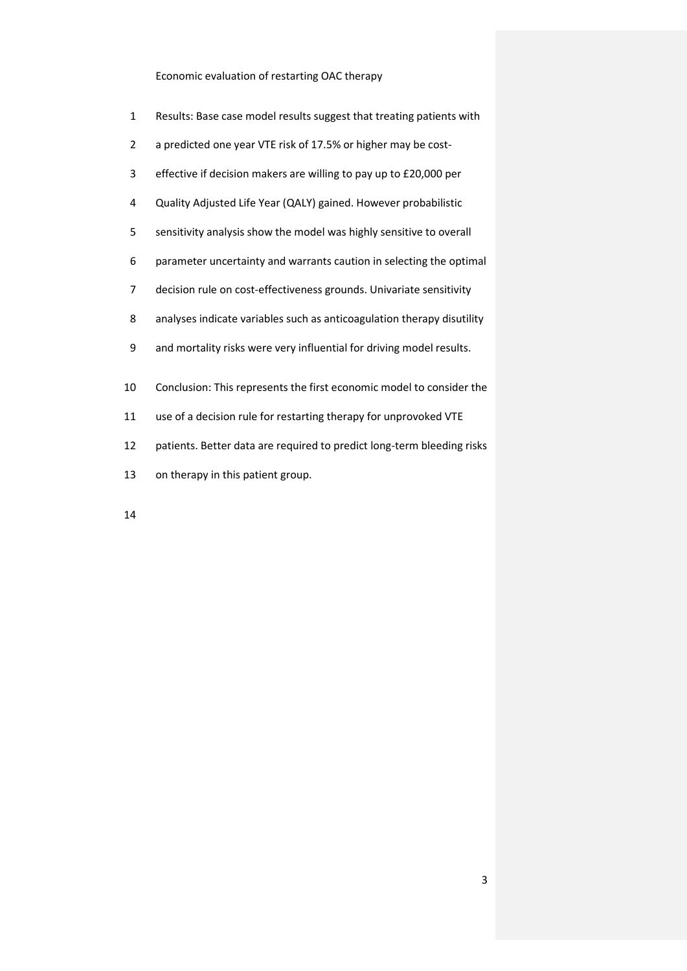- Results: Base case model results suggest that treating patients with
- a predicted one year VTE risk of 17.5% or higher may be cost-
- effective if decision makers are willing to pay up to £20,000 per
- Quality Adjusted Life Year (QALY) gained. However probabilistic
- sensitivity analysis show the model was highly sensitive to overall
- parameter uncertainty and warrants caution in selecting the optimal
- decision rule on cost-effectiveness grounds. Univariate sensitivity
- analyses indicate variables such as anticoagulation therapy disutility
- and mortality risks were very influential for driving model results.
- Conclusion: This represents the first economic model to consider the
- use of a decision rule for restarting therapy for unprovoked VTE
- patients. Better data are required to predict long-term bleeding risks
- on therapy in this patient group.
-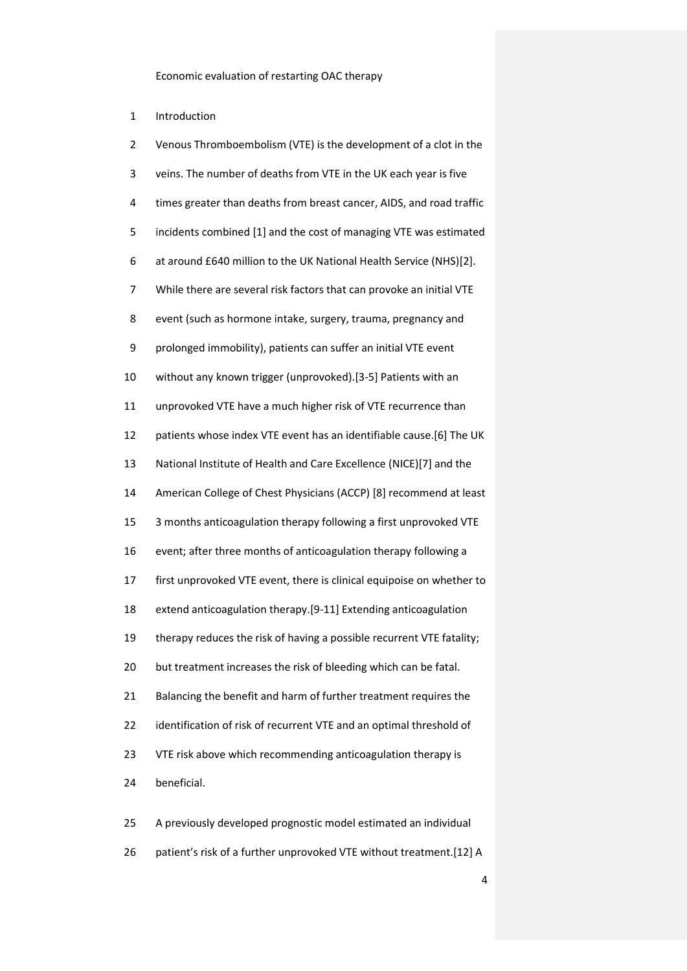Introduction

| Venous Thromboembolism (VTE) is the development of a clot in the      |
|-----------------------------------------------------------------------|
| veins. The number of deaths from VTE in the UK each year is five      |
| times greater than deaths from breast cancer, AIDS, and road traffic  |
| incidents combined [1] and the cost of managing VTE was estimated     |
| at around £640 million to the UK National Health Service (NHS)[2].    |
| While there are several risk factors that can provoke an initial VTE  |
| event (such as hormone intake, surgery, trauma, pregnancy and         |
| prolonged immobility), patients can suffer an initial VTE event       |
| without any known trigger (unprovoked).[3-5] Patients with an         |
| unprovoked VTE have a much higher risk of VTE recurrence than         |
| patients whose index VTE event has an identifiable cause.[6] The UK   |
| National Institute of Health and Care Excellence (NICE)[7] and the    |
| American College of Chest Physicians (ACCP) [8] recommend at least    |
| 3 months anticoagulation therapy following a first unprovoked VTE     |
| event; after three months of anticoagulation therapy following a      |
| first unprovoked VTE event, there is clinical equipoise on whether to |
| extend anticoagulation therapy.[9-11] Extending anticoagulation       |
| therapy reduces the risk of having a possible recurrent VTE fatality; |
| but treatment increases the risk of bleeding which can be fatal.      |
| Balancing the benefit and harm of further treatment requires the      |
| identification of risk of recurrent VTE and an optimal threshold of   |
| VTE risk above which recommending anticoagulation therapy is          |
| beneficial.                                                           |
|                                                                       |
|                                                                       |

patient's risk of a further unprovoked VTE without treatment.[\[12\]](#page-20-5) A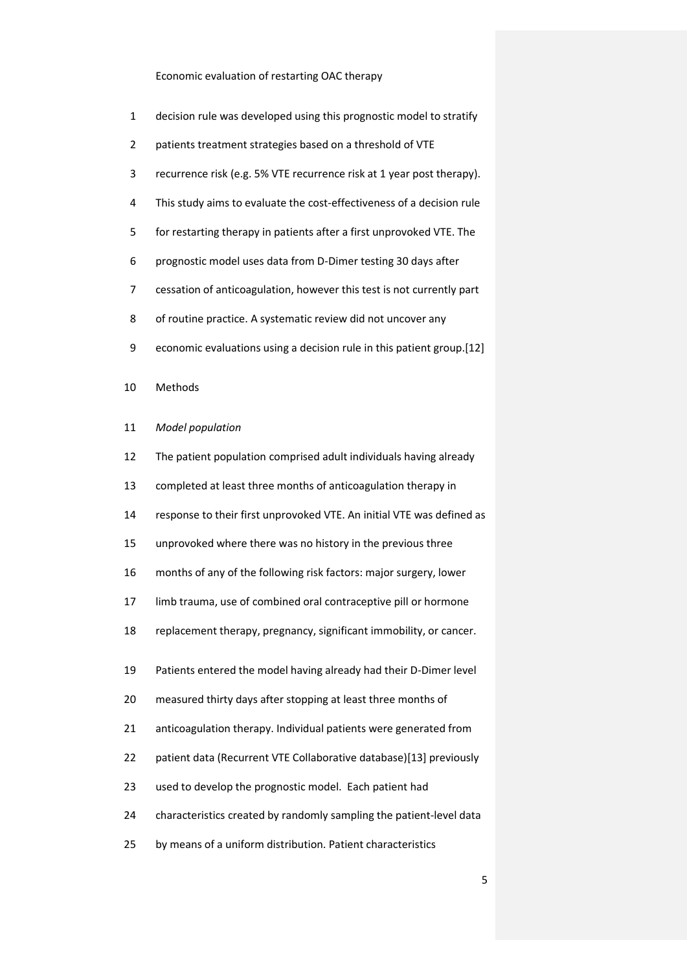- decision rule was developed using this prognostic model to stratify
- patients treatment strategies based on a threshold of VTE
- recurrence risk (e.g. 5% VTE recurrence risk at 1 year post therapy).
- This study aims to evaluate the cost-effectiveness of a decision rule
- for restarting therapy in patients after a first unprovoked VTE. The
- prognostic model uses data from D-Dimer testing 30 days after
- cessation of anticoagulation, however this test is not currently part
- of routine practice. A systematic review did not uncover any
- economic evaluations using a decision rule in this patient group.[\[12\]](#page-20-5)
- Methods
- *Model population*
- The patient population comprised adult individuals having already
- completed at least three months of anticoagulation therapy in
- response to their first unprovoked VTE. An initial VTE was defined as
- unprovoked where there was no history in the previous three
- months of any of the following risk factors: major surgery, lower
- limb trauma, use of combined oral contraceptive pill or hormone
- replacement therapy, pregnancy, significant immobility, or cancer.
- Patients entered the model having already had their D-Dimer level
- measured thirty days after stopping at least three months of
- anticoagulation therapy. Individual patients were generated from
- patient data (Recurrent VTE Collaborative database)[\[13\]](#page-20-6) previously
- used to develop the prognostic model. Each patient had
- characteristics created by randomly sampling the patient-level data
- by means of a uniform distribution. Patient characteristics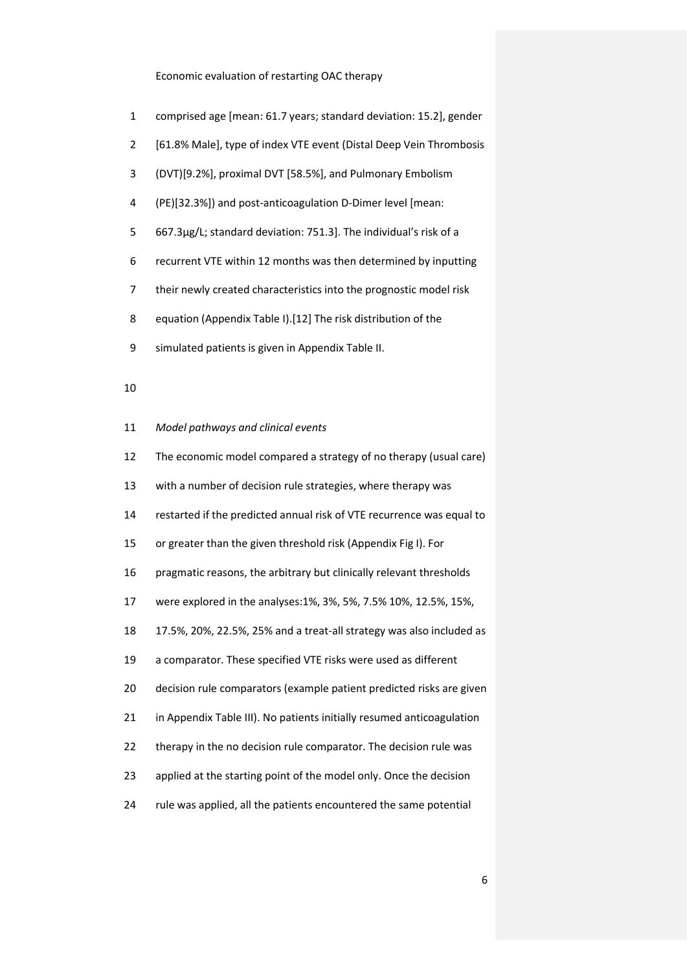- comprised age [mean: 61.7 years; standard deviation: 15.2], gender
- [61.8% Male], type of index VTE event (Distal Deep Vein Thrombosis
- (DVT)[9.2%], proximal DVT [58.5%], and Pulmonary Embolism
- (PE)[32.3%]) and post-anticoagulation D-Dimer level [mean:
- 667.3µg/L; standard deviation: 751.3]. The individual's risk of a
- recurrent VTE within 12 months was then determined by inputting
- their newly created characteristics into the prognostic model risk
- equation (Appendix Table I).[\[12\]](#page-20-5) The risk distribution of the
- simulated patients is given in Appendix Table II.

## 

*Model pathways and clinical events*

| 12 | The economic model compared a strategy of no therapy (usual care)     |
|----|-----------------------------------------------------------------------|
| 13 | with a number of decision rule strategies, where therapy was          |
| 14 | restarted if the predicted annual risk of VTE recurrence was equal to |
| 15 | or greater than the given threshold risk (Appendix Fig I). For        |
| 16 | pragmatic reasons, the arbitrary but clinically relevant thresholds   |
| 17 | were explored in the analyses: 1%, 3%, 5%, 7.5% 10%, 12.5%, 15%,      |
| 18 | 17.5%, 20%, 22.5%, 25% and a treat-all strategy was also included as  |
| 19 | a comparator. These specified VTE risks were used as different        |
| 20 | decision rule comparators (example patient predicted risks are given  |
| 21 | in Appendix Table III). No patients initially resumed anticoagulation |
| 22 | therapy in the no decision rule comparator. The decision rule was     |
| 23 | applied at the starting point of the model only. Once the decision    |
| 24 | rule was applied, all the patients encountered the same potential     |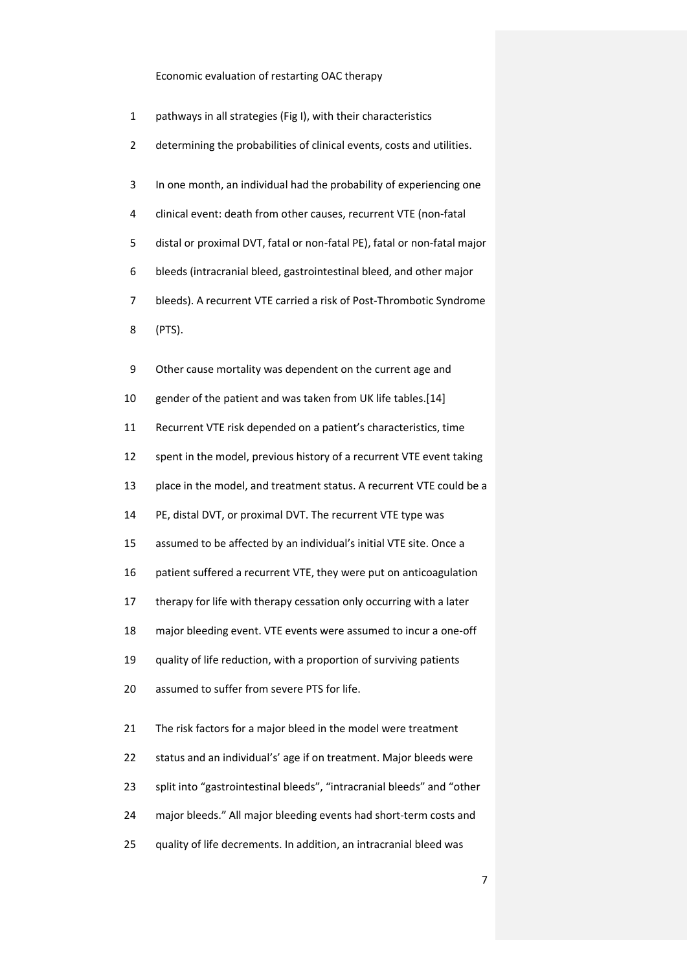- pathways in all strategies (Fig I), with their characteristics
- determining the probabilities of clinical events, costs and utilities.
- In one month, an individual had the probability of experiencing one
- clinical event: death from other causes, recurrent VTE (non-fatal
- distal or proximal DVT, fatal or non-fatal PE), fatal or non-fatal major
- bleeds (intracranial bleed, gastrointestinal bleed, and other major
- bleeds). A recurrent VTE carried a risk of Post-Thrombotic Syndrome
- (PTS).

| 9  | Other cause mortality was dependent on the current age and             |
|----|------------------------------------------------------------------------|
| 10 | gender of the patient and was taken from UK life tables.[14]           |
| 11 | Recurrent VTE risk depended on a patient's characteristics, time       |
| 12 | spent in the model, previous history of a recurrent VTE event taking   |
| 13 | place in the model, and treatment status. A recurrent VTE could be a   |
| 14 | PE, distal DVT, or proximal DVT. The recurrent VTE type was            |
| 15 | assumed to be affected by an individual's initial VTE site. Once a     |
| 16 | patient suffered a recurrent VTE, they were put on anticoagulation     |
| 17 | therapy for life with therapy cessation only occurring with a later    |
| 18 | major bleeding event. VTE events were assumed to incur a one-off       |
| 19 | quality of life reduction, with a proportion of surviving patients     |
| 20 | assumed to suffer from severe PTS for life.                            |
| 21 | The risk factors for a major bleed in the model were treatment         |
| 22 | status and an individual's' age if on treatment. Major bleeds were     |
| 23 | split into "gastrointestinal bleeds", "intracranial bleeds" and "other |
| 24 | major bleeds." All major bleeding events had short-term costs and      |
| 25 | quality of life decrements. In addition, an intracranial bleed was     |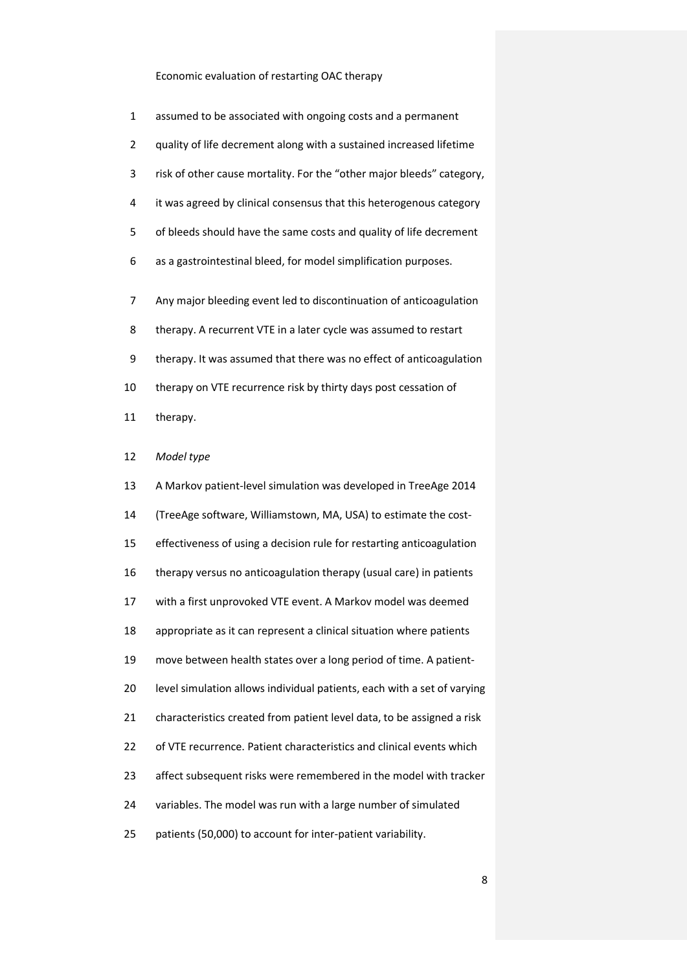| $\mathbf{1}$ | assumed to be associated with ongoing costs and a permanent           |
|--------------|-----------------------------------------------------------------------|
| 2            | quality of life decrement along with a sustained increased lifetime   |
| 3            | risk of other cause mortality. For the "other major bleeds" category, |
| 4            | it was agreed by clinical consensus that this heterogenous category   |
| 5            | of bleeds should have the same costs and quality of life decrement    |
| 6            | as a gastrointestinal bleed, for model simplification purposes.       |
|              |                                                                       |
| 7            | Any major bleeding event led to discontinuation of anticoagulation    |
| 8            | therapy. A recurrent VTE in a later cycle was assumed to restart      |
| 9            | therapy. It was assumed that there was no effect of anticoagulation   |
| 10           | therapy on VTE recurrence risk by thirty days post cessation of       |
|              |                                                                       |

therapy.

## *Model type*

| 13 | A Markov patient-level simulation was developed in TreeAge 2014         |
|----|-------------------------------------------------------------------------|
| 14 | (TreeAge software, Williamstown, MA, USA) to estimate the cost-         |
| 15 | effectiveness of using a decision rule for restarting anticoagulation   |
| 16 | therapy versus no anticoagulation therapy (usual care) in patients      |
| 17 | with a first unprovoked VTE event. A Markov model was deemed            |
| 18 | appropriate as it can represent a clinical situation where patients     |
| 19 | move between health states over a long period of time. A patient-       |
| 20 | level simulation allows individual patients, each with a set of varying |
| 21 | characteristics created from patient level data, to be assigned a risk  |
| 22 | of VTE recurrence. Patient characteristics and clinical events which    |
| 23 | affect subsequent risks were remembered in the model with tracker       |
| 24 | variables. The model was run with a large number of simulated           |
| 25 | patients (50,000) to account for inter-patient variability.             |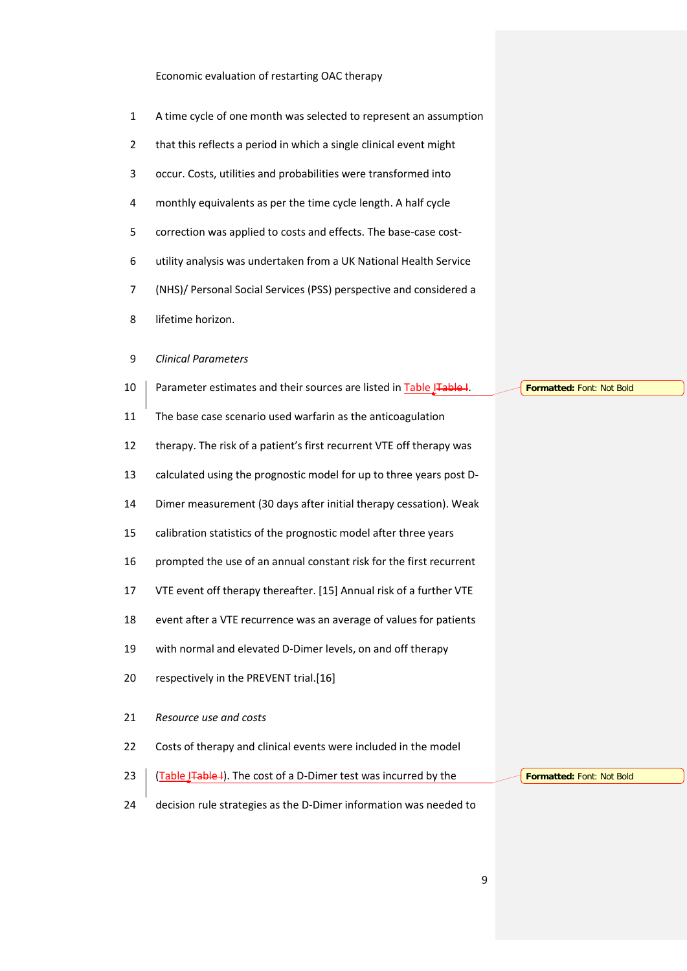- A time cycle of one month was selected to represent an assumption
- that this reflects a period in which a single clinical event might
- occur. Costs, utilities and probabilities were transformed into
- monthly equivalents as per the time cycle length. A half cycle
- correction was applied to costs and effects. The base-case cost-
- utility analysis was undertaken from a UK National Health Service
- (NHS)/ Personal Social Services (PSS) perspective and considered a
- lifetime horizon.

## *Clinical Parameters*

- 10 Parameter estimates and their sources are listed in [Table ITable I.](#page-23-0) The base case scenario used warfarin as the anticoagulation therapy. The risk of a patient's first recurrent VTE off therapy was calculated using the prognostic model for up to three years post D- Dimer measurement (30 days after initial therapy cessation). Weak calibration statistics of the prognostic model after three years prompted the use of an annual constant risk for the first recurrent VTE event off therapy thereafter. [\[15\]](#page-20-8) Annual risk of a further VTE event after a VTE recurrence was an average of values for patients with normal and elevated D-Dimer levels, on and off therapy respectively in the PREVENT trial.[\[16\]](#page-21-0) *Resource use and costs* Costs of therapy and clinical events were included in the model 23  $\int$  [\(Table ITable I\)](#page-23-0). The cost of a D-Dimer test was incurred by the **Formatted:** Font: Not Bold **Formatted:** Font: Not Bold
- decision rule strategies as the D-Dimer information was needed to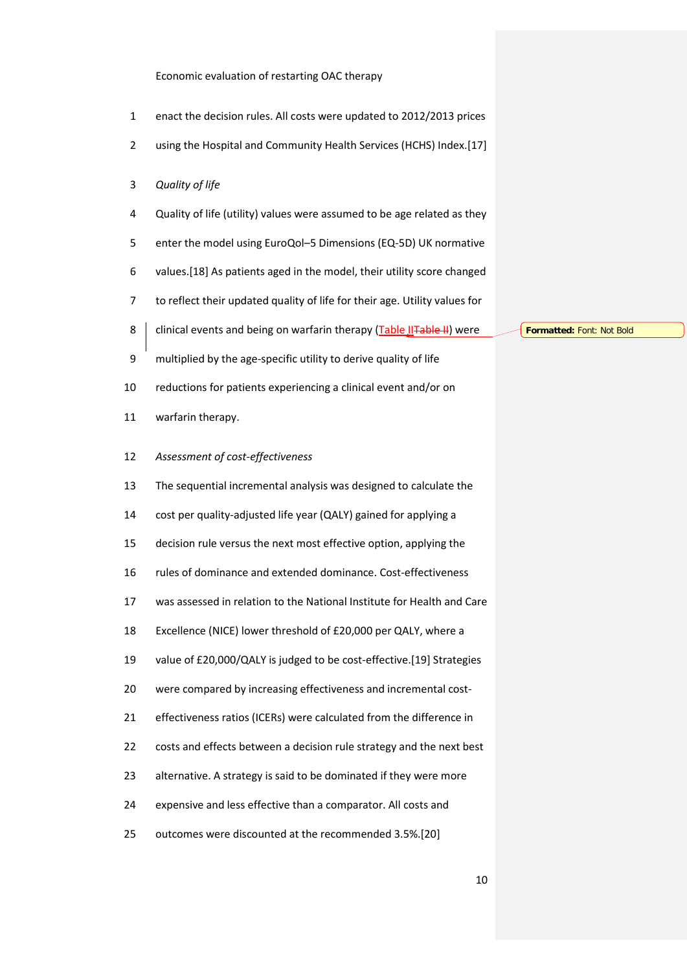- enact the decision rules. All costs were updated to 2012/2013 prices
- using the Hospital and Community Health Services (HCHS) Index.[\[17\]](#page-21-1)
- *Quality of life*
- Quality of life (utility) values were assumed to be age related as they
- enter the model using EuroQol–5 Dimensions (EQ-5D) UK normative
- values.[\[18\]](#page-21-2) As patients aged in the model, their utility score changed
- to reflect their updated quality of life for their age. Utility values for
- 8 | clinical events and being on warfarin therapy [\(Table IITable II\)](#page-24-0) were
- multiplied by the age-specific utility to derive quality of life
- reductions for patients experiencing a clinical event and/or on
- warfarin therapy.
- *Assessment of cost-effectiveness*
- The sequential incremental analysis was designed to calculate the
- cost per quality-adjusted life year (QALY) gained for applying a
- decision rule versus the next most effective option, applying the
- rules of dominance and extended dominance. Cost-effectiveness
- was assessed in relation to the National Institute for Health and Care
- Excellence (NICE) lower threshold of £20,000 per QALY, where a
- value of £20,000/QALY is judged to be cost-effective.[\[19\]](#page-21-3) Strategies
- were compared by increasing effectiveness and incremental cost-
- effectiveness ratios (ICERs) were calculated from the difference in
- costs and effects between a decision rule strategy and the next best
- alternative. A strategy is said to be dominated if they were more
- expensive and less effective than a comparator. All costs and
- outcomes were discounted at the recommended 3.5%.[\[20\]](#page-21-4)

**Formatted:** Font: Not Bold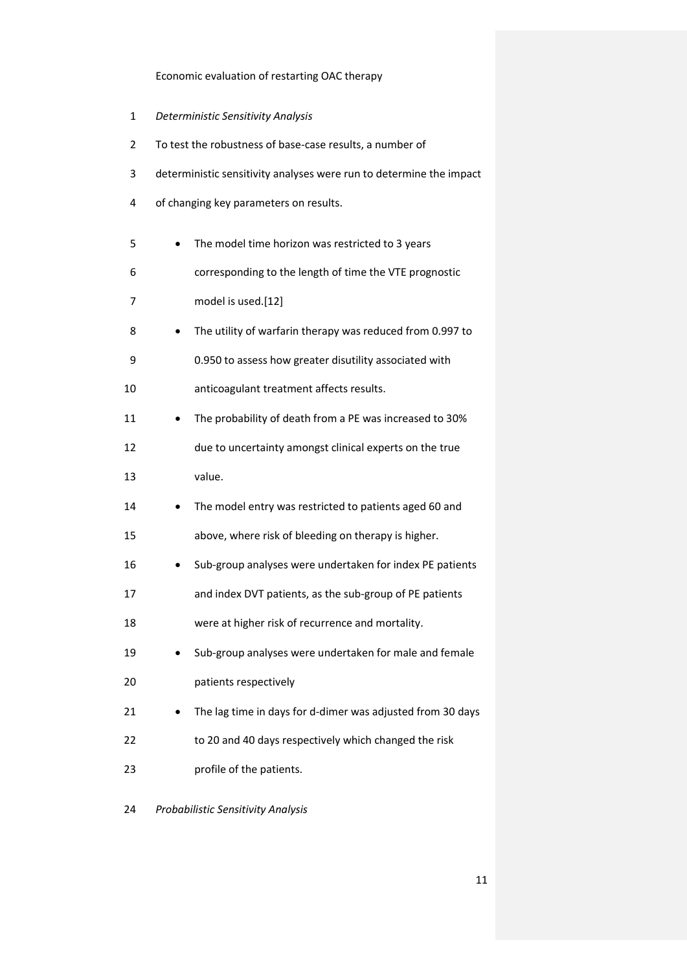- *Deterministic Sensitivity Analysis*
- To test the robustness of base-case results, a number of
- deterministic sensitivity analyses were run to determine the impact
- of changing key parameters on results.

| 5  | The model time horizon was restricted to 3 years           |
|----|------------------------------------------------------------|
| 6  | corresponding to the length of time the VTE prognostic     |
| 7  | model is used.[12]                                         |
| 8  | The utility of warfarin therapy was reduced from 0.997 to  |
| 9  | 0.950 to assess how greater disutility associated with     |
| 10 | anticoagulant treatment affects results.                   |
| 11 | The probability of death from a PE was increased to 30%    |
| 12 | due to uncertainty amongst clinical experts on the true    |
| 13 | value.                                                     |
| 14 | The model entry was restricted to patients aged 60 and     |
| 15 | above, where risk of bleeding on therapy is higher.        |
| 16 | Sub-group analyses were undertaken for index PE patients   |
| 17 | and index DVT patients, as the sub-group of PE patients    |
| 18 | were at higher risk of recurrence and mortality.           |
| 19 | Sub-group analyses were undertaken for male and female     |
| 20 | patients respectively                                      |
| 21 | The lag time in days for d-dimer was adjusted from 30 days |
| 22 | to 20 and 40 days respectively which changed the risk      |
| 23 | profile of the patients.                                   |
| 24 | Probabilistic Sensitivity Analysis                         |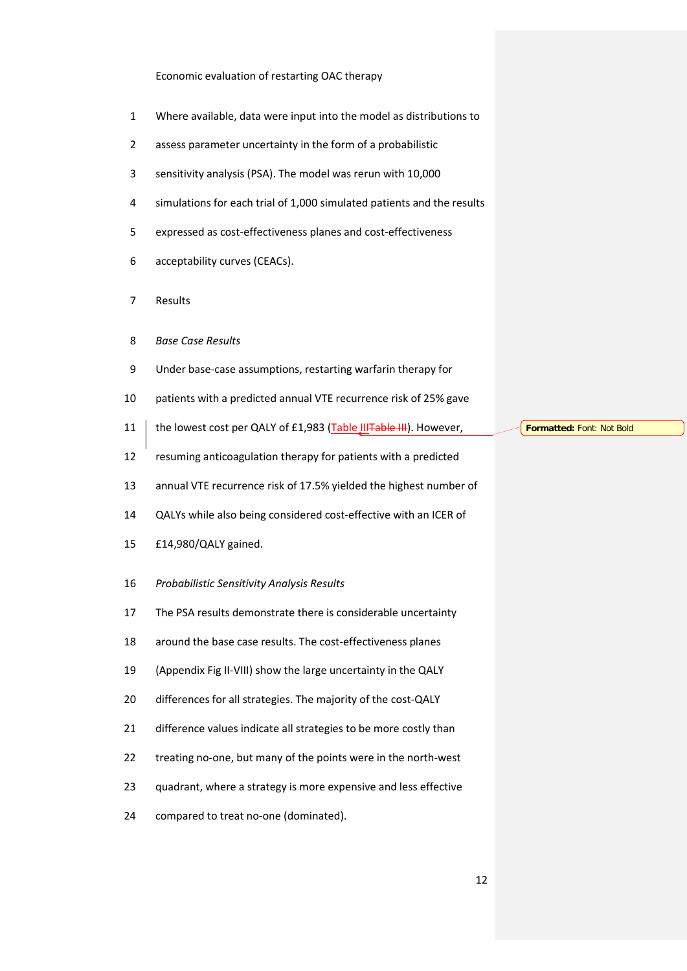- Where available, data were input into the model as distributions to
- assess parameter uncertainty in the form of a probabilistic
- sensitivity analysis (PSA). The model was rerun with 10,000
- simulations for each trial of 1,000 simulated patients and the results
- expressed as cost-effectiveness planes and cost-effectiveness
- acceptability curves (CEACs).
- Results
- *Base Case Results*
- Under base-case assumptions, restarting warfarin therapy for
- patients with a predicted annual VTE recurrence risk of 25% gave
- 11 | the lowest cost per QALY of £1,983 [\(Table IIITable III\)](#page-25-0). However,
- resuming anticoagulation therapy for patients with a predicted

annual VTE recurrence risk of 17.5% yielded the highest number of

- QALYs while also being considered cost-effective with an ICER of
- £14,980/QALY gained.
- *Probabilistic Sensitivity Analysis Results*
- The PSA results demonstrate there is considerable uncertainty
- around the base case results. The cost-effectiveness planes
- (Appendix Fig II-VIII) show the large uncertainty in the QALY
- differences for all strategies. The majority of the cost-QALY
- 21 difference values indicate all strategies to be more costly than
- treating no-one, but many of the points were in the north-west
- quadrant, where a strategy is more expensive and less effective
- compared to treat no-one (dominated).

**Formatted:** Font: Not Bold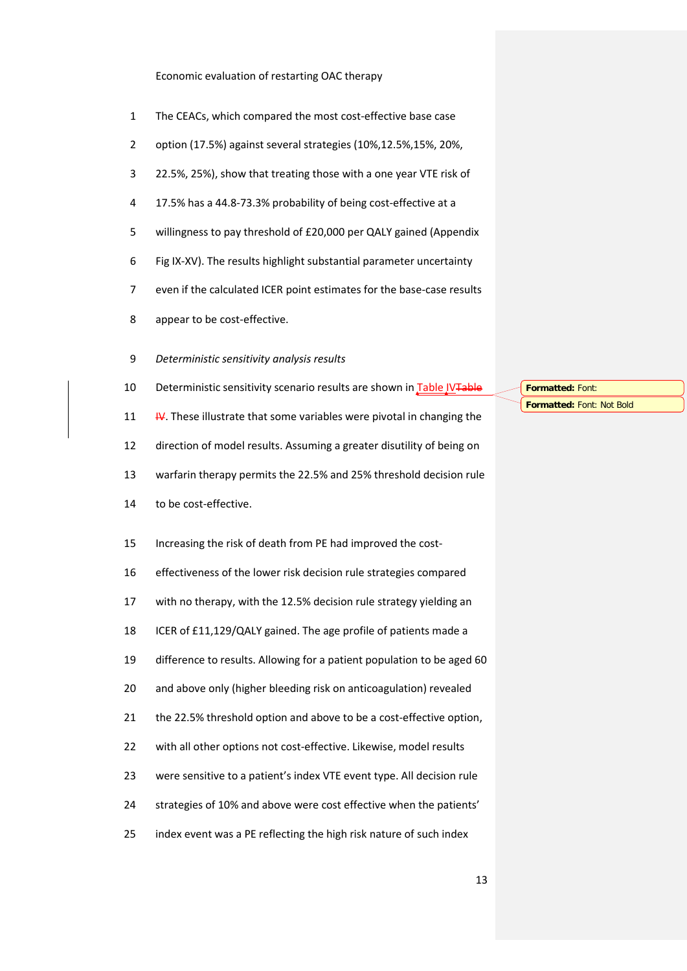- The CEACs, which compared the most cost-effective base case
- option (17.5%) against several strategies (10%,12.5%,15%, 20%,
- 22.5%, 25%), show that treating those with a one year VTE risk of
- 17.5% has a 44.8-73.3% probability of being cost-effective at a
- willingness to pay threshold of £20,000 per QALY gained (Appendix
- Fig IX-XV). The results highlight substantial parameter uncertainty
- even if the calculated ICER point estimates for the base-case results
- appear to be cost-effective.
- *Deterministic sensitivity analysis results*
- 10 Deterministic sensitivity scenario results are shown in Table IVTable
- [IV.](#page-26-0) These illustrate that some variables were pivotal in changing the

direction of model results. Assuming a greater disutility of being on

- warfarin therapy permits the 22.5% and 25% threshold decision rule
- to be cost-effective.

Increasing the risk of death from PE had improved the cost-

 effectiveness of the lower risk decision rule strategies compared with no therapy, with the 12.5% decision rule strategy yielding an

ICER of £11,129/QALY gained. The age profile of patients made a

difference to results. Allowing for a patient population to be aged 60

and above only (higher bleeding risk on anticoagulation) revealed

21 the 22.5% threshold option and above to be a cost-effective option,

- 22 with all other options not cost-effective. Likewise, model results
- were sensitive to a patient's index VTE event type. All decision rule
- strategies of 10% and above were cost effective when the patients'
- index event was a PE reflecting the high risk nature of such index

**Formatted:** Font: **Formatted:** Font: Not Bold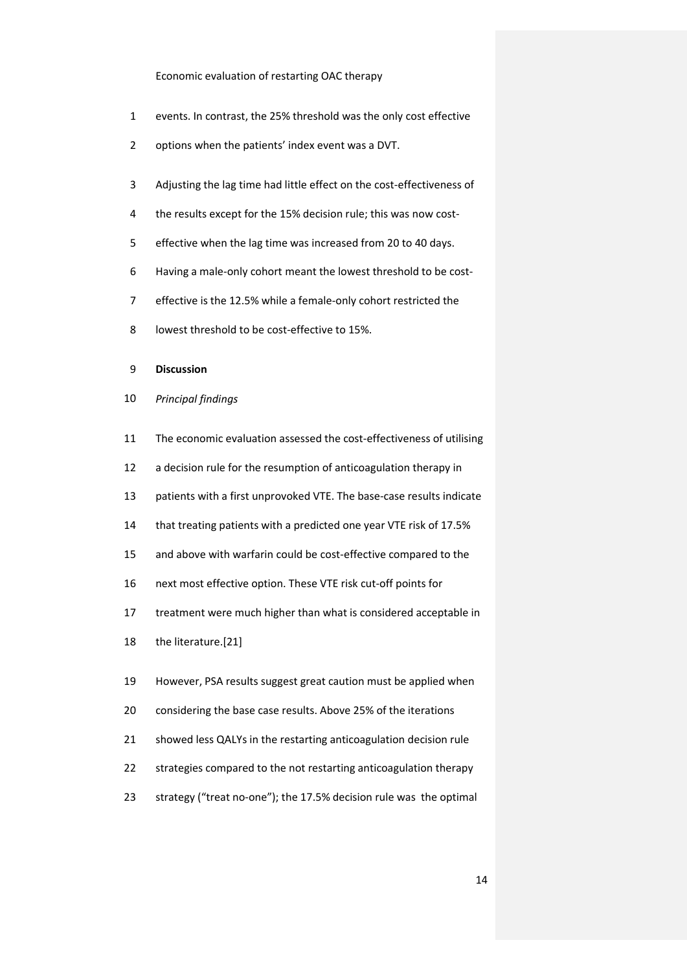- events. In contrast, the 25% threshold was the only cost effective
- options when the patients' index event was a DVT.
- Adjusting the lag time had little effect on the cost-effectiveness of
- the results except for the 15% decision rule; this was now cost-
- effective when the lag time was increased from 20 to 40 days.
- Having a male-only cohort meant the lowest threshold to be cost-
- effective is the 12.5% while a female-only cohort restricted the
- lowest threshold to be cost-effective to 15%.
- **Discussion**
- *Principal findings*
- The economic evaluation assessed the cost-effectiveness of utilising 12 a decision rule for the resumption of anticoagulation therapy in patients with a first unprovoked VTE. The base-case results indicate that treating patients with a predicted one year VTE risk of 17.5% and above with warfarin could be cost-effective compared to the next most effective option. These VTE risk cut-off points for treatment were much higher than what is considered acceptable in the literature.[\[21\]](#page-21-5) However, PSA results suggest great caution must be applied when considering the base case results. Above 25% of the iterations showed less QALYs in the restarting anticoagulation decision rule strategies compared to the not restarting anticoagulation therapy strategy ("treat no-one"); the 17.5% decision rule was the optimal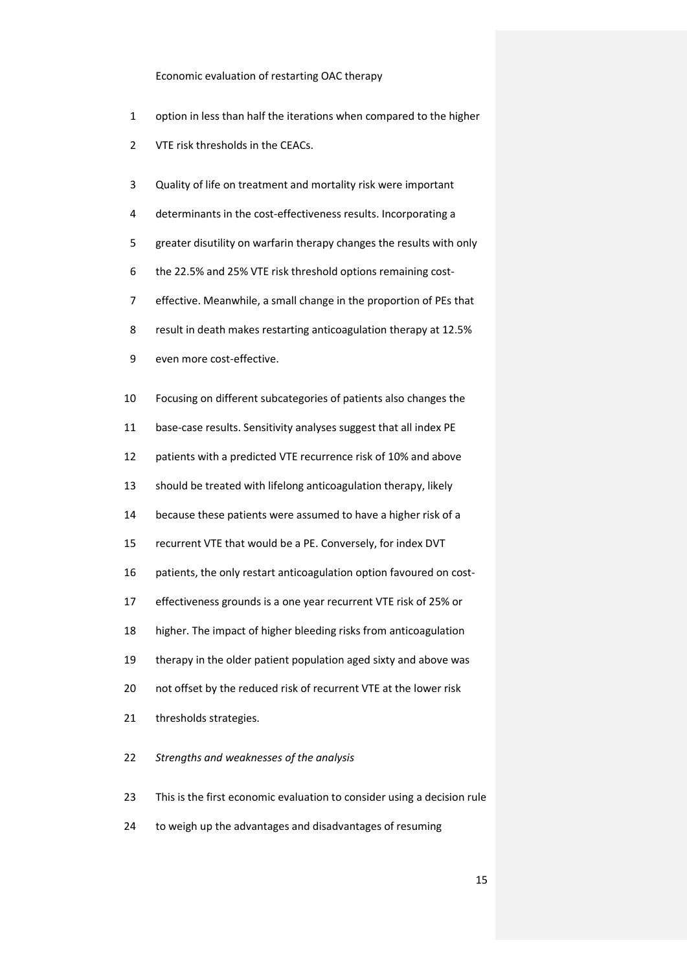- option in less than half the iterations when compared to the higher
- VTE risk thresholds in the CEACs.
- Quality of life on treatment and mortality risk were important
- determinants in the cost-effectiveness results. Incorporating a
- greater disutility on warfarin therapy changes the results with only
- the 22.5% and 25% VTE risk threshold options remaining cost-
- effective. Meanwhile, a small change in the proportion of PEs that
- result in death makes restarting anticoagulation therapy at 12.5%
- even more cost-effective.
- Focusing on different subcategories of patients also changes the
- base-case results. Sensitivity analyses suggest that all index PE
- patients with a predicted VTE recurrence risk of 10% and above
- should be treated with lifelong anticoagulation therapy, likely
- because these patients were assumed to have a higher risk of a
- recurrent VTE that would be a PE. Conversely, for index DVT
- patients, the only restart anticoagulation option favoured on cost-
- effectiveness grounds is a one year recurrent VTE risk of 25% or
- higher. The impact of higher bleeding risks from anticoagulation
- therapy in the older patient population aged sixty and above was
- not offset by the reduced risk of recurrent VTE at the lower risk
- thresholds strategies.
- *Strengths and weaknesses of the analysis*
- This is the first economic evaluation to consider using a decision rule
- to weigh up the advantages and disadvantages of resuming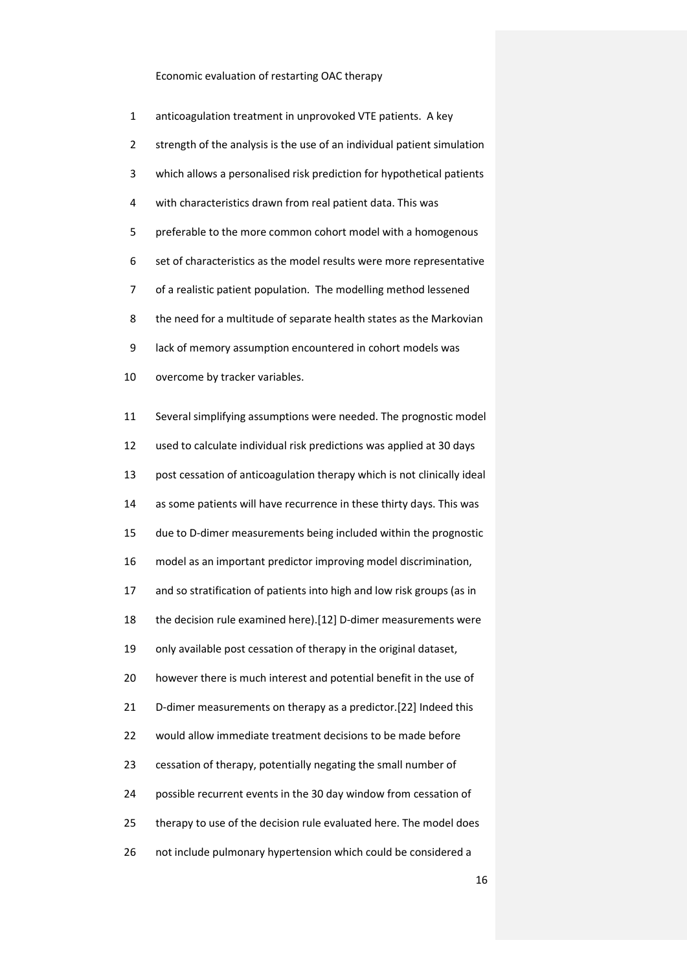| $\mathbf{1}$   | anticoagulation treatment in unprovoked VTE patients. A key             |
|----------------|-------------------------------------------------------------------------|
| $\overline{2}$ | strength of the analysis is the use of an individual patient simulation |
| 3              | which allows a personalised risk prediction for hypothetical patients   |
| 4              | with characteristics drawn from real patient data. This was             |
| 5              | preferable to the more common cohort model with a homogenous            |
| 6              | set of characteristics as the model results were more representative    |
| 7              | of a realistic patient population. The modelling method lessened        |
| 8              | the need for a multitude of separate health states as the Markovian     |
| 9              | lack of memory assumption encountered in cohort models was              |
| 10             | overcome by tracker variables.                                          |
| 11             | Several simplifying assumptions were needed. The prognostic model       |
| 12             | used to calculate individual risk predictions was applied at 30 days    |
| 13             | post cessation of anticoagulation therapy which is not clinically ideal |
| 14             | as some patients will have recurrence in these thirty days. This was    |
| 15             | due to D-dimer measurements being included within the prognostic        |
| 16             | model as an important predictor improving model discrimination,         |
| 17             | and so stratification of patients into high and low risk groups (as in  |
| 18             | the decision rule examined here).[12] D-dimer measurements were         |
| 19             | only available post cessation of therapy in the original dataset,       |
| 20             | however there is much interest and potential benefit in the use of      |
| 21             | D-dimer measurements on therapy as a predictor.[22] Indeed this         |
| 22             | would allow immediate treatment decisions to be made before             |
| 23             | cessation of therapy, potentially negating the small number of          |
| 24             | possible recurrent events in the 30 day window from cessation of        |
| 25             | therapy to use of the decision rule evaluated here. The model does      |
| 26             | not include pulmonary hypertension which could be considered a          |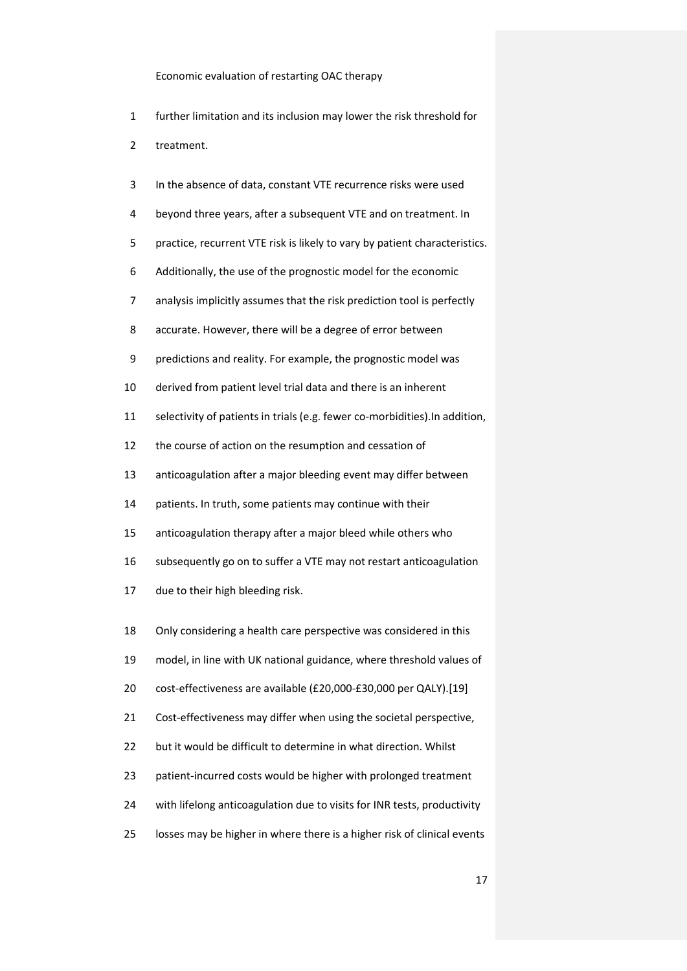- further limitation and its inclusion may lower the risk threshold for
- treatment.
- In the absence of data, constant VTE recurrence risks were used
- beyond three years, after a subsequent VTE and on treatment. In
- practice, recurrent VTE risk is likely to vary by patient characteristics.
- Additionally, the use of the prognostic model for the economic
- analysis implicitly assumes that the risk prediction tool is perfectly
- accurate. However, there will be a degree of error between
- predictions and reality. For example, the prognostic model was
- derived from patient level trial data and there is an inherent
- selectivity of patients in trials (e.g. fewer co-morbidities).In addition,
- the course of action on the resumption and cessation of
- anticoagulation after a major bleeding event may differ between
- patients. In truth, some patients may continue with their
- anticoagulation therapy after a major bleed while others who
- subsequently go on to suffer a VTE may not restart anticoagulation
- due to their high bleeding risk.
- Only considering a health care perspective was considered in this
- model, in line with UK national guidance, where threshold values of
- cost-effectiveness are available (£20,000-£30,000 per QALY).[\[19\]](#page-21-3)
- 21 Cost-effectiveness may differ when using the societal perspective,
- but it would be difficult to determine in what direction. Whilst
- patient-incurred costs would be higher with prolonged treatment
- with lifelong anticoagulation due to visits for INR tests, productivity
- losses may be higher in where there is a higher risk of clinical events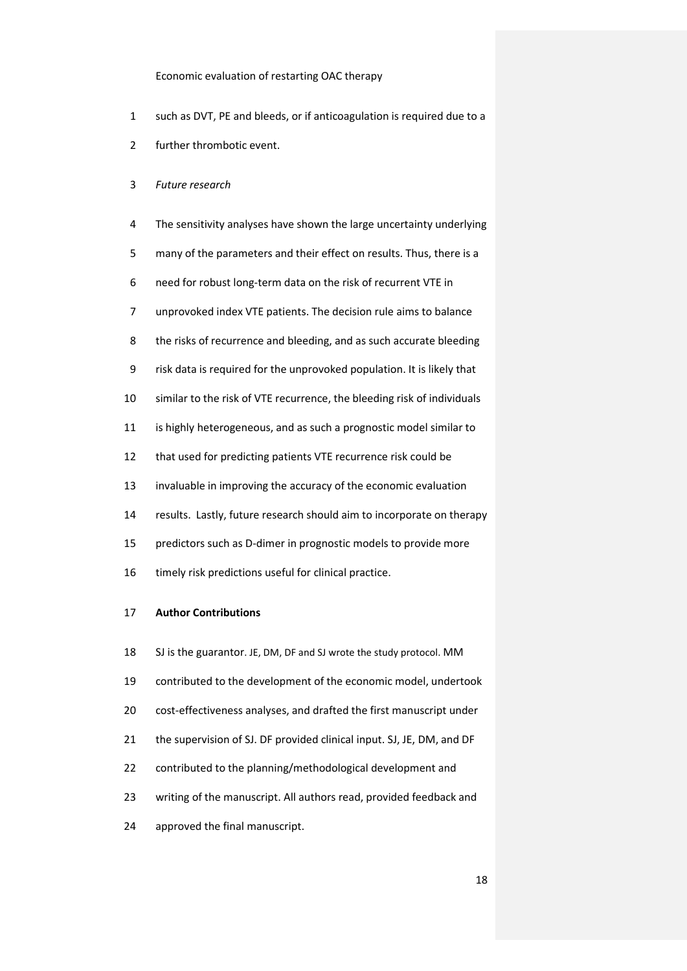- such as DVT, PE and bleeds, or if anticoagulation is required due to a
- further thrombotic event.
- *Future research*
- The sensitivity analyses have shown the large uncertainty underlying
- many of the parameters and their effect on results. Thus, there is a
- need for robust long-term data on the risk of recurrent VTE in
- unprovoked index VTE patients. The decision rule aims to balance
- the risks of recurrence and bleeding, and as such accurate bleeding
- risk data is required for the unprovoked population. It is likely that
- similar to the risk of VTE recurrence, the bleeding risk of individuals
- is highly heterogeneous, and as such a prognostic model similar to
- that used for predicting patients VTE recurrence risk could be
- invaluable in improving the accuracy of the economic evaluation
- results. Lastly, future research should aim to incorporate on therapy
- predictors such as D-dimer in prognostic models to provide more
- 16 timely risk predictions useful for clinical practice.

## **Author Contributions**

 SJ is the guarantor. JE, DM, DF and SJ wrote the study protocol. MM contributed to the development of the economic model, undertook cost-effectiveness analyses, and drafted the first manuscript under 21 the supervision of SJ. DF provided clinical input. SJ, JE, DM, and DF contributed to the planning/methodological development and writing of the manuscript. All authors read, provided feedback and approved the final manuscript.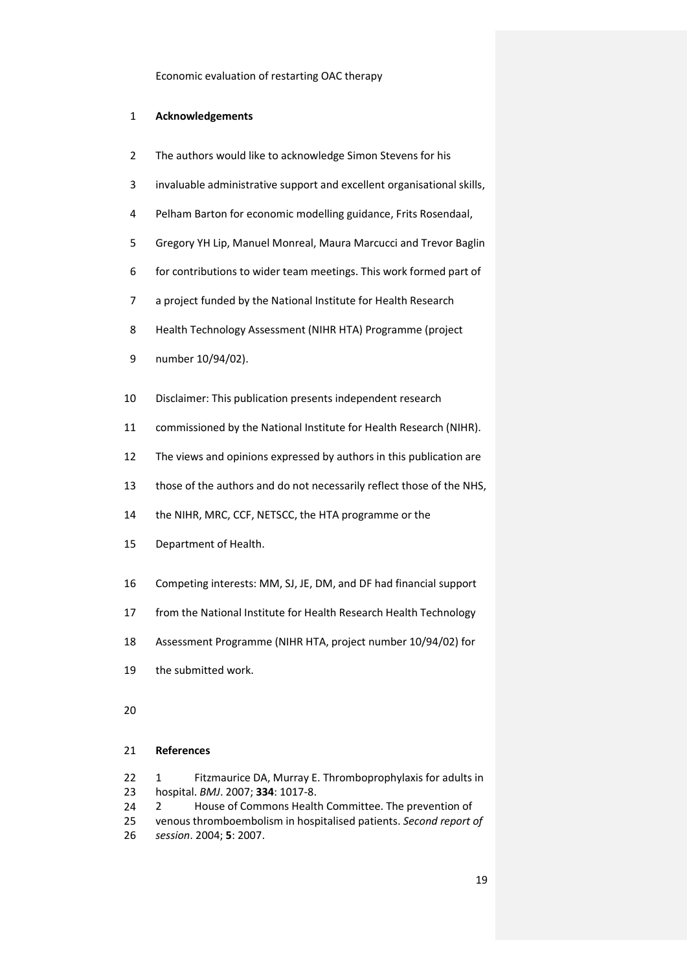## **Acknowledgements**

- The authors would like to acknowledge Simon Stevens for his
- invaluable administrative support and excellent organisational skills,
- Pelham Barton for economic modelling guidance, Frits Rosendaal,
- Gregory YH Lip, Manuel Monreal, Maura Marcucci and Trevor Baglin
- for contributions to wider team meetings. This work formed part of
- a project funded by the National Institute for Health Research
- Health Technology Assessment (NIHR HTA) Programme (project
- number 10/94/02).
- Disclaimer: This publication presents independent research
- commissioned by the National Institute for Health Research (NIHR).
- The views and opinions expressed by authors in this publication are
- those of the authors and do not necessarily reflect those of the NHS,
- the NIHR, MRC, CCF, NETSCC, the HTA programme or the
- Department of Health.
- Competing interests: MM, SJ, JE, DM, and DF had financial support
- from the National Institute for Health Research Health Technology
- Assessment Programme (NIHR HTA, project number 10/94/02) for
- the submitted work.
- 

## **References**

- <span id="page-19-0"></span>22 1 Fitzmaurice DA, Murray E. Thromboprophylaxis for adults in hospital. *BMJ*. 2007; **334**: 1017-8.
- <span id="page-19-1"></span>24 2 House of Commons Health Committee. The prevention of
- venous thromboembolism in hospitalised patients. *Second report of session*. 2004; **5**: 2007.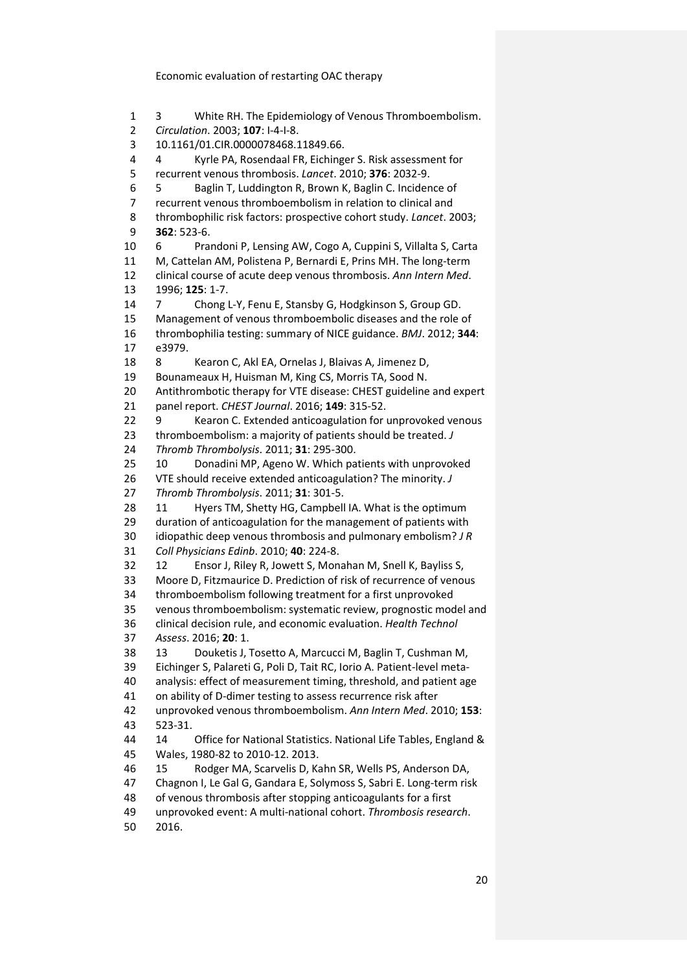<span id="page-20-4"></span><span id="page-20-3"></span><span id="page-20-2"></span><span id="page-20-1"></span><span id="page-20-0"></span> 3 White RH. The Epidemiology of Venous Thromboembolism. *Circulation*. 2003; **107**: I-4-I-8. 10.1161/01.CIR.0000078468.11849.66. 4 Kyrle PA, Rosendaal FR, Eichinger S. Risk assessment for recurrent venous thrombosis. *Lancet*. 2010; **376**: 2032-9. 5 Baglin T, Luddington R, Brown K, Baglin C. Incidence of recurrent venous thromboembolism in relation to clinical and thrombophilic risk factors: prospective cohort study. *Lancet*. 2003; **362**: 523-6. 6 Prandoni P, Lensing AW, Cogo A, Cuppini S, Villalta S, Carta M, Cattelan AM, Polistena P, Bernardi E, Prins MH. The long-term clinical course of acute deep venous thrombosis. *Ann Intern Med*. 1996; **125**: 1-7. 7 Chong L-Y, Fenu E, Stansby G, Hodgkinson S, Group GD. Management of venous thromboembolic diseases and the role of thrombophilia testing: summary of NICE guidance. *BMJ*. 2012; **344**: e3979. 8 Kearon C, Akl EA, Ornelas J, Blaivas A, Jimenez D, Bounameaux H, Huisman M, King CS, Morris TA, Sood N. Antithrombotic therapy for VTE disease: CHEST guideline and expert panel report. *CHEST Journal*. 2016; **149**: 315-52. 9 Kearon C. Extended anticoagulation for unprovoked venous thromboembolism: a majority of patients should be treated. *J Thromb Thrombolysis*. 2011; **31**: 295-300. 10 Donadini MP, Ageno W. Which patients with unprovoked VTE should receive extended anticoagulation? The minority. *J Thromb Thrombolysis*. 2011; **31**: 301-5. 11 Hyers TM, Shetty HG, Campbell IA. What is the optimum duration of anticoagulation for the management of patients with idiopathic deep venous thrombosis and pulmonary embolism? *J R Coll Physicians Edinb*. 2010; **40**: 224-8. 12 Ensor J, Riley R, Jowett S, Monahan M, Snell K, Bayliss S, Moore D, Fitzmaurice D. Prediction of risk of recurrence of venous thromboembolism following treatment for a first unprovoked venous thromboembolism: systematic review, prognostic model and clinical decision rule, and economic evaluation. *Health Technol Assess*. 2016; **20**: 1. 13 Douketis J, Tosetto A, Marcucci M, Baglin T, Cushman M, Eichinger S, Palareti G, Poli D, Tait RC, Iorio A. Patient-level meta- analysis: effect of measurement timing, threshold, and patient age on ability of D-dimer testing to assess recurrence risk after unprovoked venous thromboembolism. *Ann Intern Med*. 2010; **153**: 523-31. 14 Office for National Statistics. National Life Tables, England & Wales, 1980-82 to 2010-12. 2013. 15 Rodger MA, Scarvelis D, Kahn SR, Wells PS, Anderson DA, Chagnon I, Le Gal G, Gandara E, Solymoss S, Sabri E. Long-term risk of venous thrombosis after stopping anticoagulants for a first unprovoked event: A multi-national cohort. *Thrombosis research*. 2016.

<span id="page-20-8"></span><span id="page-20-7"></span><span id="page-20-6"></span><span id="page-20-5"></span>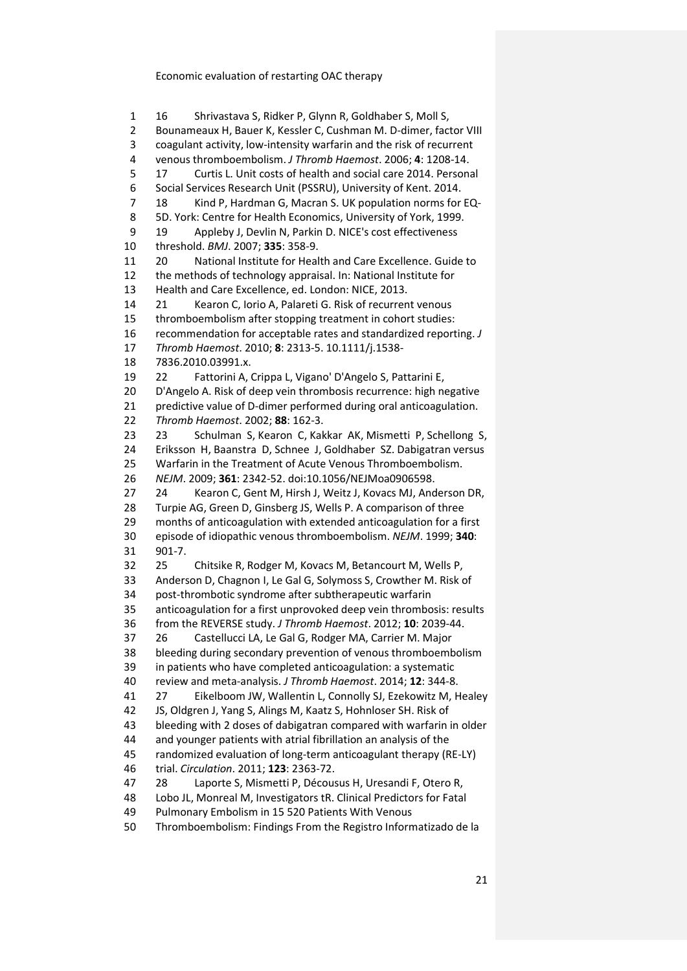<span id="page-21-7"></span><span id="page-21-6"></span><span id="page-21-5"></span><span id="page-21-4"></span><span id="page-21-3"></span><span id="page-21-2"></span><span id="page-21-1"></span><span id="page-21-0"></span> 16 Shrivastava S, Ridker P, Glynn R, Goldhaber S, Moll S, Bounameaux H, Bauer K, Kessler C, Cushman M. D-dimer, factor VIII coagulant activity, low-intensity warfarin and the risk of recurrent venous thromboembolism. *J Thromb Haemost*. 2006; **4**: 1208-14. 17 Curtis L. Unit costs of health and social care 2014. Personal Social Services Research Unit (PSSRU), University of Kent. 2014. 18 Kind P, Hardman G, Macran S. UK population norms for EQ- 5D. York: Centre for Health Economics, University of York, 1999. 19 Appleby J, Devlin N, Parkin D. NICE's cost effectiveness threshold. *BMJ*. 2007; **335**: 358-9. 20 National Institute for Health and Care Excellence. Guide to the methods of technology appraisal. In: National Institute for Health and Care Excellence, ed. London: NICE, 2013. 21 Kearon C, Iorio A, Palareti G. Risk of recurrent venous thromboembolism after stopping treatment in cohort studies: recommendation for acceptable rates and standardized reporting. *J Thromb Haemost*. 2010; **8**: 2313-5. 10.1111/j.1538- 7836.2010.03991.x. 22 Fattorini A, Crippa L, Vigano' D'Angelo S, Pattarini E, D'Angelo A. Risk of deep vein thrombosis recurrence: high negative predictive value of D-dimer performed during oral anticoagulation. *Thromb Haemost*. 2002; **88**: 162-3. 23 23 Schulman S, Kearon C, Kakkar AK, Mismetti P, Schellong S, Eriksson H, Baanstra D, Schnee J, Goldhaber SZ. Dabigatran versus Warfarin in the Treatment of Acute Venous Thromboembolism. *NEJM*. 2009; **361**: 2342-52. doi:10.1056/NEJMoa0906598. 24 Kearon C, Gent M, Hirsh J, Weitz J, Kovacs MJ, Anderson DR, Turpie AG, Green D, Ginsberg JS, Wells P. A comparison of three months of anticoagulation with extended anticoagulation for a first episode of idiopathic venous thromboembolism. *NEJM*. 1999; **340**: 901-7. 25 Chitsike R, Rodger M, Kovacs M, Betancourt M, Wells P, Anderson D, Chagnon I, Le Gal G, Solymoss S, Crowther M. Risk of post-thrombotic syndrome after subtherapeutic warfarin anticoagulation for a first unprovoked deep vein thrombosis: results from the REVERSE study. *J Thromb Haemost*. 2012; **10**: 2039-44. 26 Castellucci LA, Le Gal G, Rodger MA, Carrier M. Major bleeding during secondary prevention of venous thromboembolism in patients who have completed anticoagulation: a systematic review and meta-analysis. *J Thromb Haemost*. 2014; **12**: 344-8. 27 Eikelboom JW, Wallentin L, Connolly SJ, Ezekowitz M, Healey JS, Oldgren J, Yang S, Alings M, Kaatz S, Hohnloser SH. Risk of bleeding with 2 doses of dabigatran compared with warfarin in older and younger patients with atrial fibrillation an analysis of the randomized evaluation of long-term anticoagulant therapy (RE-LY) trial. *Circulation*. 2011; **123**: 2363-72. 28 Laporte S, Mismetti P, Décousus H, Uresandi F, Otero R, Lobo JL, Monreal M, Investigators tR. Clinical Predictors for Fatal Pulmonary Embolism in 15 520 Patients With Venous

<span id="page-21-12"></span><span id="page-21-11"></span><span id="page-21-10"></span><span id="page-21-9"></span><span id="page-21-8"></span>Thromboembolism: Findings From the Registro Informatizado de la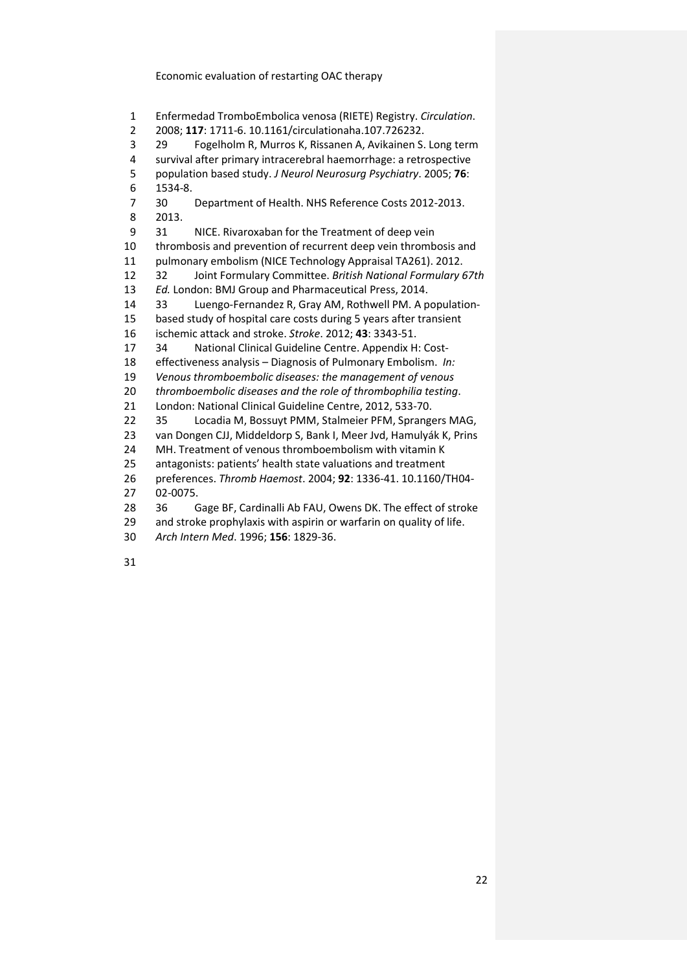Enfermedad TromboEmbolica venosa (RIETE) Registry. *Circulation*.

2008; **117**: 1711-6. 10.1161/circulationaha.107.726232.

<span id="page-22-0"></span>29 Fogelholm R, Murros K, Rissanen A, Avikainen S. Long term

survival after primary intracerebral haemorrhage: a retrospective

population based study. *J Neurol Neurosurg Psychiatry*. 2005; **76**:

1534-8.

<span id="page-22-1"></span> 30 Department of Health. NHS Reference Costs 2012-2013. 2013.

<span id="page-22-2"></span> 31 NICE. Rivaroxaban for the Treatment of deep vein thrombosis and prevention of recurrent deep vein thrombosis and pulmonary embolism (NICE Technology Appraisal TA261). 2012.

<span id="page-22-3"></span>32 Joint Formulary Committee. *British National Formulary 67th* 

*Ed.* London: BMJ Group and Pharmaceutical Press, 2014.

<span id="page-22-4"></span> 33 Luengo-Fernandez R, Gray AM, Rothwell PM. A population-based study of hospital care costs during 5 years after transient

ischemic attack and stroke. *Stroke*. 2012; **43**: 3343-51.

<span id="page-22-5"></span>34 National Clinical Guideline Centre. Appendix H: Cost-

effectiveness analysis – Diagnosis of Pulmonary Embolism. *In:* 

*Venous thromboembolic diseases: the management of venous* 

*thromboembolic diseases and the role of thrombophilia testing*.

London: National Clinical Guideline Centre, 2012, 533-70.

<span id="page-22-6"></span>35 Locadia M, Bossuyt PMM, Stalmeier PFM, Sprangers MAG,

van Dongen CJJ, Middeldorp S, Bank I, Meer Jvd, Hamulyák K, Prins

MH. Treatment of venous thromboembolism with vitamin K

antagonists: patients' health state valuations and treatment

 preferences. *Thromb Haemost*. 2004; **92**: 1336-41. 10.1160/TH04- 02-0075.

<span id="page-22-7"></span>36 Gage BF, Cardinalli Ab FAU, Owens DK. The effect of stroke

29 and stroke prophylaxis with aspirin or warfarin on quality of life.

*Arch Intern Med*. 1996; **156**: 1829-36.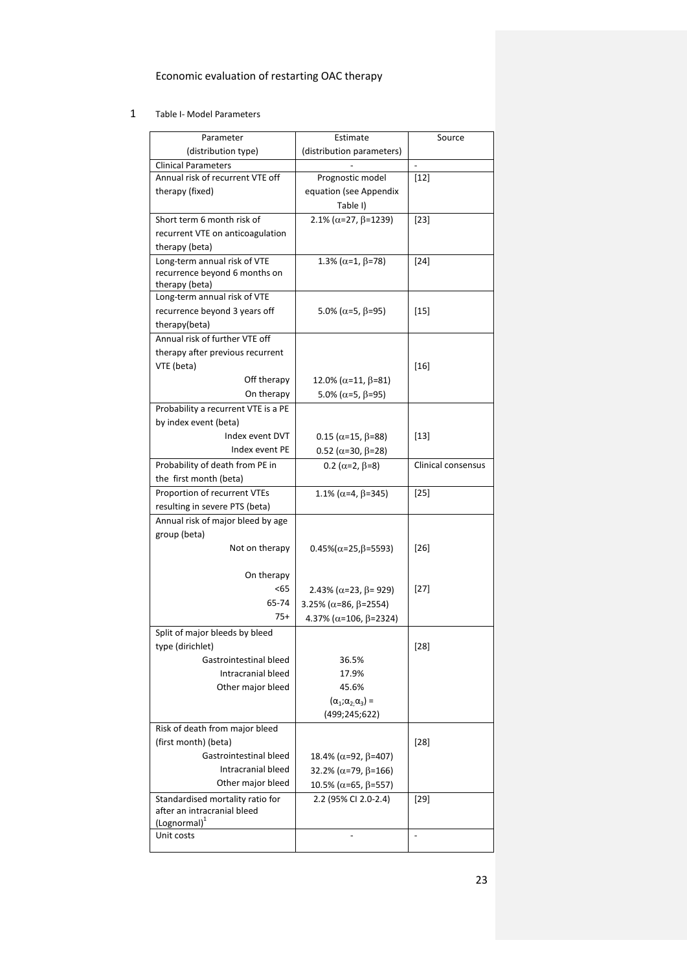## 1 Table I- Model Parameters

<span id="page-23-0"></span>

| Parameter                           | Estimate                               | Source             |
|-------------------------------------|----------------------------------------|--------------------|
| (distribution type)                 | (distribution parameters)              |                    |
| <b>Clinical Parameters</b>          |                                        |                    |
| Annual risk of recurrent VTE off    | Prognostic model                       | $[12]$             |
| therapy (fixed)                     | equation (see Appendix                 |                    |
|                                     | Table I)                               |                    |
| Short term 6 month risk of          | 2.1% ( $\alpha$ =27, $\beta$ =1239)    | $[23]$             |
| recurrent VTE on anticoagulation    |                                        |                    |
| therapy (beta)                      |                                        |                    |
| Long-term annual risk of VTE        | 1.3% ( $\alpha$ =1, $\beta$ =78)       | $[24]$             |
| recurrence beyond 6 months on       |                                        |                    |
| therapy (beta)                      |                                        |                    |
| Long-term annual risk of VTE        |                                        |                    |
| recurrence beyond 3 years off       | 5.0% ( $\alpha$ =5, $\beta$ =95)       | $[15]$             |
| therapy(beta)                       |                                        |                    |
| Annual risk of further VTE off      |                                        |                    |
| therapy after previous recurrent    |                                        |                    |
| VTE (beta)                          |                                        | $[16]$             |
| Off therapy                         | 12.0% (α=11, β=81)                     |                    |
| On therapy                          | 5.0% ( $\alpha$ =5, $\beta$ =95)       |                    |
| Probability a recurrent VTE is a PE |                                        |                    |
| by index event (beta)               |                                        |                    |
| Index event DVT                     | $0.15$ ( $\alpha$ =15, $\beta$ =88)    | $[13]$             |
| Index event PE                      | $0.52$ ( $\alpha$ =30, $\beta$ =28)    |                    |
| Probability of death from PE in     | 0.2 ( $\alpha$ =2, $\beta$ =8)         | Clinical consensus |
| the first month (beta)              |                                        |                    |
| Proportion of recurrent VTEs        | 1.1% ( $\alpha$ =4, $\beta$ =345)      | $[25]$             |
| resulting in severe PTS (beta)      |                                        |                    |
| Annual risk of major bleed by age   |                                        |                    |
| group (beta)                        |                                        |                    |
| Not on therapy                      | $0.45\%(\alpha=25,\beta=5593)$         | $[26]$             |
|                                     |                                        |                    |
| On therapy                          |                                        |                    |
| $65$                                | 2.43% ( $\alpha$ =23, $\beta$ = 929)   | $[27]$             |
| 65-74                               | 3.25% ( $\alpha$ =86, $\beta$ =2554)   |                    |
| $75+$                               | 4.37% ( $\alpha$ =106, $\beta$ =2324)  |                    |
| Split of major bleeds by bleed      |                                        |                    |
| type (dirichlet)                    |                                        | $[28]$             |
| Gastrointestinal bleed              | 36.5%                                  |                    |
| Intracranial bleed                  | 17.9%                                  |                    |
| Other major bleed                   | 45.6%                                  |                    |
|                                     | $(\alpha_1; \alpha_2; \alpha_3)$ =     |                    |
|                                     | (499;245;622)                          |                    |
| Risk of death from major bleed      |                                        |                    |
| (first month) (beta)                |                                        | $[28]$             |
| Gastrointestinal bleed              | 18.4% (α=92, β=407)                    |                    |
| Intracranial bleed                  | 32.2% ( $\alpha$ =79, $\beta$ =166)    |                    |
| Other major bleed                   | $10.5\%$ ( $\alpha$ =65, $\beta$ =557) |                    |
| Standardised mortality ratio for    | 2.2 (95% CI 2.0-2.4)                   | $[29]$             |
| after an intracranial bleed         |                                        |                    |
| (Lognormal) <sup>1</sup>            |                                        |                    |
| Unit costs                          |                                        | $\overline{a}$     |
|                                     |                                        |                    |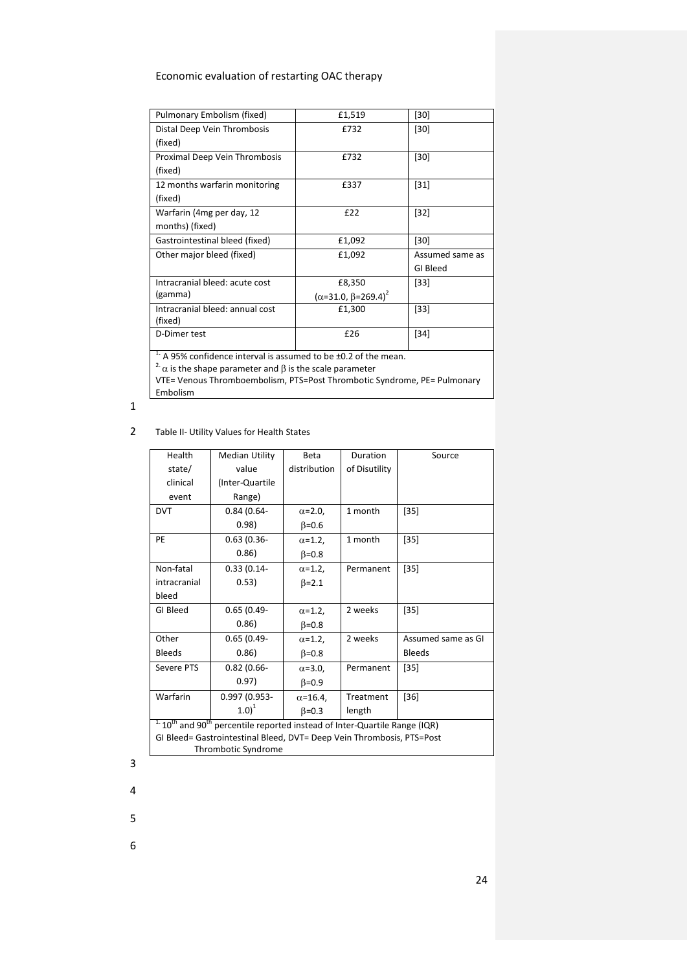| Pulmonary Embolism (fixed)                                               | £1,519                         | $[30]$          |  |  |
|--------------------------------------------------------------------------|--------------------------------|-----------------|--|--|
| Distal Deep Vein Thrombosis                                              | £732<br>$[30]$                 |                 |  |  |
| (fixed)                                                                  |                                |                 |  |  |
| Proximal Deep Vein Thrombosis                                            | £732                           | $[30]$          |  |  |
| (fixed)                                                                  |                                |                 |  |  |
| 12 months warfarin monitoring                                            | £337                           | $[31]$          |  |  |
| (fixed)                                                                  |                                |                 |  |  |
| Warfarin (4mg per day, 12                                                | £22                            | $[32]$          |  |  |
| months) (fixed)                                                          |                                |                 |  |  |
| Gastrointestinal bleed (fixed)                                           | £1,092                         | $[30]$          |  |  |
| Other major bleed (fixed)                                                | £1,092                         | Assumed same as |  |  |
|                                                                          |                                | GI Bleed        |  |  |
| Intracranial bleed: acute cost                                           | £8,350                         | $[33]$          |  |  |
| (gamma)                                                                  | $(\alpha=31.0, \beta=269.4)^2$ |                 |  |  |
| Intracranial bleed: annual cost                                          | £1,300                         | $[33]$          |  |  |
| (fixed)                                                                  |                                |                 |  |  |
| D-Dimer test                                                             | £26                            | $[34]$          |  |  |
| $1.$ A 95% confidence interval is assumed to be $\pm$ 0.2 of the mean.   |                                |                 |  |  |
| $2\alpha$ is the shape parameter and $\beta$ is the scale parameter      |                                |                 |  |  |
| VTE= Venous Thromboembolism, PTS=Post Thrombotic Syndrome, PE= Pulmonary |                                |                 |  |  |
| Embolism                                                                 |                                |                 |  |  |

## 1

## 2 Table II- Utility Values for Health States

<span id="page-24-0"></span>

| Health                                                                                              | Median Utility  | <b>Beta</b>       | Duration      | Source             |
|-----------------------------------------------------------------------------------------------------|-----------------|-------------------|---------------|--------------------|
| state/                                                                                              | value           | distribution      | of Disutility |                    |
| clinical                                                                                            | (Inter-Quartile |                   |               |                    |
| event                                                                                               | Range)          |                   |               |                    |
| <b>DVT</b>                                                                                          | $0.84(0.64 -$   | $\alpha$ =2.0,    | 1 month       | $[35]$             |
|                                                                                                     | 0.98)           | $\beta = 0.6$     |               |                    |
| PE                                                                                                  | $0.63(0.36 -$   | $\alpha$ =1.2,    | 1 month       | $[35]$             |
|                                                                                                     | 0.86)           | $\beta = 0.8$     |               |                    |
| Non-fatal                                                                                           | $0.33(0.14 -$   | $\alpha$ =1.2,    | Permanent     | $[35]$             |
| intracranial                                                                                        | 0.53)           | $\beta = 2.1$     |               |                    |
| bleed                                                                                               |                 |                   |               |                    |
| GI Bleed                                                                                            | $0.65(0.49-$    | $\alpha$ =1.2,    | 2 weeks       | $[35]$             |
|                                                                                                     | 0.86            | $\beta = 0.8$     |               |                    |
| Other                                                                                               | $0.65(0.49-$    | $\alpha$ =1.2,    | 2 weeks       | Assumed same as GI |
| <b>Bleeds</b>                                                                                       | 0.86)           | $\beta = 0.8$     |               | <b>Bleeds</b>      |
| Severe PTS                                                                                          | $0.82(0.66 -$   | $\alpha$ =3.0,    | Permanent     | $[35]$             |
|                                                                                                     | 0.97)           | $\beta = 0.9$     |               |                    |
| Warfarin                                                                                            | 0.997 (0.953-   | $\alpha = 16.4$ , | Treatment     | $[36]$             |
|                                                                                                     | $1.0)^1$        | $\beta = 0.3$     | length        |                    |
| $1.10$ <sup>th</sup> and 90 <sup>th</sup> percentile reported instead of Inter-Quartile Range (IQR) |                 |                   |               |                    |
| GI Bleed= Gastrointestinal Bleed, DVT= Deep Vein Thrombosis, PTS=Post                               |                 |                   |               |                    |
| Thrombotic Syndrome                                                                                 |                 |                   |               |                    |

3

4

5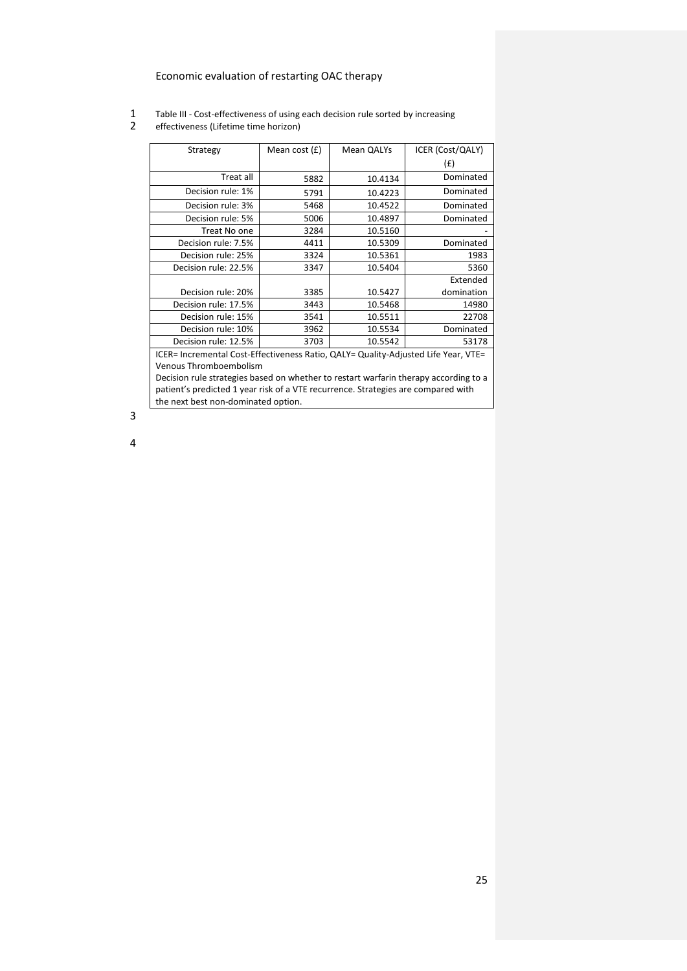- 1 Table III Cost-effectiveness of using each decision rule sorted by increasing<br>2 effectiveness (Lifetime time horizon)
- <span id="page-25-0"></span>effectiveness (Lifetime time horizon)

| Strategy             | Mean cost $(f)$ | Mean QALYs | ICER (Cost/QALY) |
|----------------------|-----------------|------------|------------------|
|                      |                 |            | (f)              |
| Treat all            | 5882            | 10.4134    | Dominated        |
| Decision rule: 1%    | 5791            | 10.4223    | Dominated        |
| Decision rule: 3%    | 5468            | 10.4522    | Dominated        |
| Decision rule: 5%    | 5006            | 10.4897    | Dominated        |
| Treat No one         | 3284            | 10.5160    |                  |
| Decision rule: 7.5%  | 4411            | 10.5309    | Dominated        |
| Decision rule: 25%   | 3324            | 10.5361    | 1983             |
| Decision rule: 22.5% | 3347            | 10.5404    | 5360             |
|                      |                 |            | Extended         |
| Decision rule: 20%   | 3385            | 10.5427    | domination       |
| Decision rule: 17.5% | 3443            | 10.5468    | 14980            |
| Decision rule: 15%   | 3541            | 10.5511    | 22708            |
| Decision rule: 10%   | 3962            | 10.5534    | Dominated        |
| Decision rule: 12.5% | 3703            | 10.5542    | 53178            |

ICER= Incremental Cost-Effectiveness Ratio, QALY= Quality-Adjusted Life Year, VTE= Venous Thromboembolism

Decision rule strategies based on whether to restart warfarin therapy according to a patient's predicted 1 year risk of a VTE recurrence. Strategies are compared with the next best non-dominated option.

3